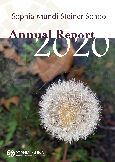# Sophia Mundi Steiner School

# 2020 **Annual Report**

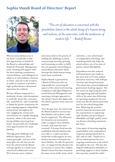#### **Sophia Mundi Board of Directors' Report**



*"This art of education is concerned with the possibilities latent in the whole being of a human being and reckons, at the same time, with the tendencies of modern life." ~ Rudolf Steiner*

What an extraordinary year it has been! I would like to take this opportunity on behalf of the Board to acknowledge and thank the Principal, Management team, teaching and support staff for their amazing commitment, resourcefulness, and willingness to adapt to an extraordinary situation in 2020, and rise to the occasion, in order to continue to provide a high-quality Steiner educational experience for students.

We have all been impacted in a multitude of ways, with disruptions to work life, home life, economic life, social life etc. and I would like to thank the parent community for your ongoing support, adaptability and presence throughout the year. Juggling the stresses and uncertainties of a rapidly changing situation, while at the same time having children learning from home, has provided new challenges (and opportunities) for many families.

Through great challenges and difficult experiences, there comes great gifts, and one of the many gifts over the last year has been the school and the Board coming together as a much more united and collaborative team. We've become more resilient

and resourceful in the process of tackling the challenges at hand, continuously learning, growing and innovating in order to fulfil the core purpose of providing an extraordinary education which develops the whole human being head, heart and hands.

Sophia Mundi is governed by a Board of Directors who are responsible for overseeing all aspects of the school and ensuring compliance with legal obligations, sound financial Management and ensuring a strategic approach to the school's future that aligns with the school's greater vision and core purpose.

Over the past year, the school and the Board looked at various ways that families and students could best be supported. The allowance for bursaries was increased in order to support more families in need, and some fees were returned. A bursary fund was also established whereby families that were able to, could contribute funds that would support an even further increase in bursaries for more families. As with the previous year, we supported the decision for no increase in tuition fees. Sophia Mundi tuition fees have remained the same across 2018, 2019, 2020

and 2021, a rare achievement in independent schooling, and something which also helps the school achieve one of its aims of greater school affordability.

Expenditure was also reduced, and investments were made in key areas such as IT and outdoor education resources, with staff pay increases also being honoured. The school also received additional government funding support. The net result was improving key areas and supporting staff and families, while at the same time delivering an operating surplus for the year. 2020 was also the third consecutive year for the school being debtfree. Balancing the need for positive financial outcomes with the commitment to supporting staff, families and providing an affordable and high-quality innercity Steiner schooling remained a key focus.

A key aspect of ensuring ongoing sustainability is the commitment of parents paying school fees in full, and on time. Thank you to all our school parents for your ongoing commitment to the school throughout the year. This has also helped enable greater flexibility in providing support to those families that may have needed fee relief.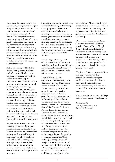Each year, the Board conducts a community survey in order to gain insights and get feedback from the community into how the school is going on a variety of different fronts. This helps inform what areas are going well, and what areas need greater focus and attention. Feedback is such an important and welcomed part of informing efforts for continuous growth and improvement in order to better serve the needs of the community. Thank you to all for taking the time to participate in these surveys, your voice matters!

At the beginning of 2020, the Board, Management, College and other school leaders came together for a second workshop/ retreat facilitated by Julia Wolfson. As a continuation of the previous workshop that explored our biography and history, this workshop became a deeper exploration into who we are now as a school, and where we want to go in the future. Shortly thereafter, 2020 took an unexpected turn, but the seeds were planted and explored further throughout the year, and in 2021 we are now actively utlising this work to help inform and develop a new strategic plan and vision that will be a guiding force over the next 5 years.

Sophia Mundi is made up of an amazingly committed group of people who are passionate about Steiner education and committed to the growth and wellbeing of students. The school has had a rich and varied journey going through many different phases in its growth, and we are now looking forward to the future as new possibilities and opportunities open up.

Supporting the community, having incredible teaching and learning, developing a healthy culture, creating the ideal school and learning environment and having strong governance and leadership are all important aspects to our strategic direction. At the heart is the student and ensuring that all our work is constantly supporting the fulfillment of our core purpose and enabling the students to flourish.

This strategic planning work will also enable us to look at and revitalise the branding and identity for the school across all areas, to reflect who we are now and help take us into a new era.

I would like to take this opportunity to acknowledge and thank the outgoing Chair of the Board, Kerry Laughton, for her extraordinary dedication, commitment and amazing leadership over the last few years. She has been instrumental in fostering a cohesive Board environment and developing a strong foundation of governance that will be felt into the future. I'd also like to thank outgoing directors Annette Batchelor, Serina Mukerjee and Jennifer West for all their work. Annette brought depth of insight and experience to the role and was instrumental in refining communications and developing more effective policy and reporting practices. Serina stepped up to the position of Finance Committee Chair and helped bring clarity and insights into the critical area of finances whilst building healthy relationships and communication channels between the Board and Management. Jennifer has

served Sophia Mundi in different capacities over many years, and her invaluable wisdom and insight was a great source of inspiration and guidance for the Board and school leadership.

Our current Board constellation is made up of myself, Michael Arcella, Damien Hicks, Cheryl Nekvapil and Carol Liknaitzky, with more members joining soon. We are blessed to have an incredible variety of skills, wisdom and experience on the Board, and the contributions, energy and work commitments of each director is greatly appreciated.

The future holds many possibilities and opportunities for the school. In a rapidly changing world, an education that fosters the whole human being and develops creativity, initiative and resourcefulness is more relevant than ever.

It's been an honour and a privilege to have been a part of the journey.

#### *Matthew Hardie*

Chair, on behalf of the Board of Directors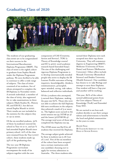#### **Graduating Class of 2020**



The students of our graduating class 2020 are to be congratulated on their success in the International Baccalaureate Diploma Programme (IBDP). The class of 2020 is the eighth cohort to graduate from Sophia Mundi under the Diploma Programme pathway. We were thrilled to be able to continue to offer a wide range of subjects. The class of 2020 consisted of six students, five of whom attempted to complete the IB Diploma in November 2020. A seventh individual, a member of the class of 2019, also registered for re-take examinations in three subjects (Math Studies SL, History HL and ESS SL), but did not attend Sophia Mundi in 2020. Their results are not included in the statistics for the subjects they re-sat in 2020.

Of the six enrolled students, 50% of them (3 students) entered the school in Year 10 or 11, and 50 % had attended Sophia Mundi since primary school. 22% of the class were retained from the Year 9 2017 cohort, these students made up 33% of the graduating class.

The two-year IB Diploma Programme curriculum encompasses the study of six subjects together with the core components of CAS (Creativity, Action and Service), TOK (a Theory of Knowledge course) and EE (a 4000-word academic research based Extended Essay). The aim of the challenging and rigorous Diploma Programme is to develop internationally minded people who strive to display the IB Learner Profile outcomes of being inquirers, knowledgeable, thinkers, communicators, principled, open-minded, caring, risk-takers, balanced and reflective individuals.

Of the 5 students who attempted, 3 earned their Diplomas, making the pass rate 60%. Those who were not able to achieve the full Diploma did earn certificates in the subjects they achieved a mark of 3 or more in. The highest score earned in the 2020 session was 34 (ATAR 91.5) and the lowest 31(ATAR 86.4). The average total score of those who completed the Diploma was 33.

The ATAR mean was 89.8 for all students that received the Diploma.

The average subject grade achieved by these 3 students was 5.06 (out of 7.00). Five of the six members of the cohort have been accepted into a tertiary institution with one candidate choosing not to apply for tertiary admission in Australia. The three students who

earned their Diploma were each accepted into their top choice University. They will commence degrees in Engineering (RMIT), Medicine (University of Notre Dame) and Science (Melbourne University). Other offers include Monash University (Biomedical Science) and Deakin University (Health Sciences). One candidate has chosen to re-take Biology and attempt to earn their Diploma. One student will have a Gap year and another will be working.

This year, 80% of the cohort earned additional points from the Core subjects Theory of Knowledge (TovK) and Extended Essay (EE).

We are excited to see how each student decides to use their unique talents and achievements to benefit the local and global communities in the years to come.

*Marcela Nievas*  IB Teachr & Assistant to the Head of Senior School

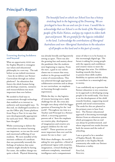#### **Principal's Report**



#### **Learning during lockdown and beyond**

What an opportunity 2020 was for Sophia Mundi to reimagine our values and educational philosophy in a new way. The task before us was indeed enormous – how do we deliver our Steiner Curriculum through an online platform? An education that fosters the whole human being and develops creativity, initiative and resourcefulness was more important than ever before.

We needed to find ways to communicate through technology that enabled us to interact in authentic and meaningful ways. To this end, we challenged ourselves to use the Office 365 Teams platform from Prep to Year 12 in ways that were developmentally appropriate for each year level. Who would have thought?

Whilst continuing to deliver the curriculum via remote learning was important, so too was the social and emotional wellbeing of our students. We were mindful of the intrinsic coldness of a medium that can potentially intensify the feelings of isolation that some students might already be having. For some, the sudden change was quite a shock. Physical distancing

*The beautiful land on which our School lives has a history stretching back to the beginning of the Dreaming. We are privileged to have the use and care for it now. I would like to acknowledge that our School is on the lands of the Wurundjeri people of the Kulin Nation, and pay my respects to elders both past and present. We are grateful for the legacies imbedded in the land. I acknowledge the contributions of Aboriginal Australians and non-Aboriginal Australians to the education of all people on this land and in this part of country.*

was already literally and figuratively setting us apart. There was also the growing fear and anxiety about the pandemic that the students were beginning to express. From the start, a goal in our online classes was to ensure that every student in the group would feel a sense of connectedness. This was achieved through appropriate collaborative activities and as always in our curriculum, an emphasis on learning through creative experiences.

Whilst the day-to-day logistics of remote learning were a daily challenge for all, the crisis also brought into sharp relief the bigger question of learning for the 'real world'. Throughout my time as a Teacher and Principal in a Steiner school, a recurring question parents ask is "does the emphasis on creative play, development of imagination and creative arts prepare children for the realworld?". These questions are now more important than ever and the answer for me is clear – yes!

With these challenges, the world is asking for new qualities: a blend of professional rigour with creativity, imagination, critical thinking that embraces complexity, emotional intelligence and a compassionate

sense of what it is to be human in this increasingly digital age. The future is asking for young people with the capacity and confidence and creative vision to meet the challenges that arise. For children heading towards this future, to possess these skills enables flexibility in options and the ability to contribute in a meaningful way to society.

I can confidently say to parents that Steiner education is very conscious in its approach to developing young people to be world ready. Our focus is on the development of the child towards freedom, supporting moral growth and social consciousness. The seeds for this are planted in the primary years to bear fruit later. The Steiner educational approach is becoming increasingly distinct from an education system which presupposes that an end can always be predetermined, and where improved test results become both the means and the ends of schooling.

I am so proud to be a member of Sophia Mundi. My sincere gratitude to the Sophia Mundi community who make our Steiner Education a reality.

*Fiona Cock,*  **PRINCIPAL**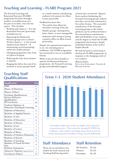# **Teaching and Learning - FLARE Program 2021**

The Focused Learning and Rotational Exercises (FLARE) programme has been through a number of modifications over the past 12 months, since the last report. This includes:

- Working with classes  $2 8$  in the Rotational Exercises (previously included year 9)
- Separating the Rotational Exercise groups into 2 cohorts: the first classes  $2 - 5$ , the second students from classes  $6 - 8$ , maintaining vertical groupings within the smaller groups.
- Changing programme time from 10:15am to 8:45am
- Reducing the time from 30mins to 25mins
- Ringing the bell at the end of 20 minutes to ensure groups finish

# **Teaching Staff Qualifications**

| Qualification                        | <b>Total</b>   |
|--------------------------------------|----------------|
| PHD                                  | 2              |
| Master of Education                  | 6              |
| Masters (Other)                      | 8              |
| Eurythmy Qualifications              | T              |
| <b>Steiner Education</b>             | <b>16</b>      |
| Qualification                        |                |
| <b>IB</b> Certificates               | 29             |
| Graduate Diploma of                  | <b>16</b>      |
| Education Teaching & Learning        |                |
| Diploma of Education                 | Н              |
| <b>Bachelor of Applied Science</b>   | T              |
| Bachelor of Arts                     | 17             |
| <b>Bachelor of Education</b>         | 4              |
| <b>Bachelor of History</b>           | T              |
| Bachelor of Law                      | T              |
| <b>Bachelor</b> of Letters           | T              |
| Bachelor of Music                    | 4              |
| <b>Bachelor of Outdoor Education</b> | $\overline{2}$ |
| Bachelor of Science                  | 3              |
| <b>Bachelor of Teaching</b>          | 3              |
| Bachelor of Visual Art/Fine<br>Arts  | 2              |
| <b>Bothmer Gymnastics</b>            | T              |
| Advanced Diploma (Applied Physics)   | 1              |
| Certificates (Other)                 | 8              |
|                                      |                |

in a timely manner and allowing students to be present for Main Lesson punctually

Feedback has been that:

- The earlier time allows for smoother running of the day
- Smaller groups, drawing from fewer classes, is more manageable
- Assistance with timing is having a positive effect on Main Lesson punctuality

Despite the repeated interruptions to on-site schooling due to lockdowns, the FLARE programme has continued to run in a modified format.

Whilst it has not been feasible to operate the Rotational Exercise programme, the Focussed Learning groups and individual support

sessions have continued. Reports from teachers facilitating the Focussed Learning groups indicate that their success has continued in the online format. The successful transference of the Focussed Learning groups to the online platform can be attributed both to the extraordinary commitment, skill and flexibility of our teachers and the degree to which the FLARE programme has become a deeply embedded rhythm of the week at Sophia Mundi.

We look forward to continuing to develop the FLARE programme in response to the changing needs of our students.

#### *Madonna Holmes,*

Education Enrichment Teacher & Welfare Support



Attendance figures for 2020 are higher than reported in previous years. This is due the extended COVID-19 lockdown, with students attending classes from home via online learning and attendance being counted differently.

### **Staff Attendance**

There was an attendance rate of 96% for both General and Teaching Staff during 2020.

# **Staff Retention**

| All Teachers | 87.5% |
|--------------|-------|
| Primary      | 87.5% |
| Secondary    | 87.5% |

#### **Term 1-3 2020 Student Attendance**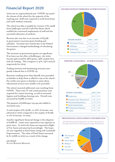# **Financial Report 2020**

2020 was an unprecedented year. COVID-19 caused the closure of the school for the majority of the teaching year. Staff were required to work from home and teach students remotely.

The school was able to qualify for revenue of \$1,242K from JobKeeper and the Cash Flow Boost which enabled the continued employment of staff and the successful education of students.

Revenue also rose due to an increase of \$374K in government recurrent grant funding and subsidies. Increases were mainly due to the Federal Government's changed methodology of calculating the grants.

The increases in government grants are significant. If we leave out the effect of JobKeeper, the 2020 income split would be 38% grants, 58% student fees and 4% trading. This compares to  $31\%$ ,  $64\%$  and  $5\%$ respectively for 2019.

Trading activities and fundraising revenues were greatly reduced due to COVID-19.

Bursaries totalling more than \$400K were provided to families to help them to afford to stay at the school. Fee credits were given to families to assist where educational services were unable to be provided.

The school incurred additional costs resulting from COVID. These were IT and communication costs required for remote learning, as well as increased hygiene and building cleaning costs. Overall costs increased by \$148K in 2020.

The payment of JobKeeper top ups also added to increased costs.

A total surplus of \$1,320K, or 22% of income, was achieved in 2020 compared to the surplus of \$115K, or 2% of income, in 2019.

Another significant financial change is the adoption of AASB 16. Leases were reported as rent expenses in prior years. In 2020 the leases are reported as Right of Use Assets and amortised accordingly. The leases are now regarded as Fixed Assets along with Leasehold Improvements. The value of Fixed Assets increased by \$1,006K in 2020 as a result of the change.

*John Mulhall*  Acting Business Manager

#### **INCOME SOURCES EXPRESSED AS PERCENTAGES**



**EXPENSE CATEGORIES - AS PERCENTAGES**

Expense Categories 2020



#### **PROFESSIONAL DEVELOPMENT DISTRIBUTION**

Staff Professional Development in 2020 amounted to \$15,396 and had the following percentage distribution: